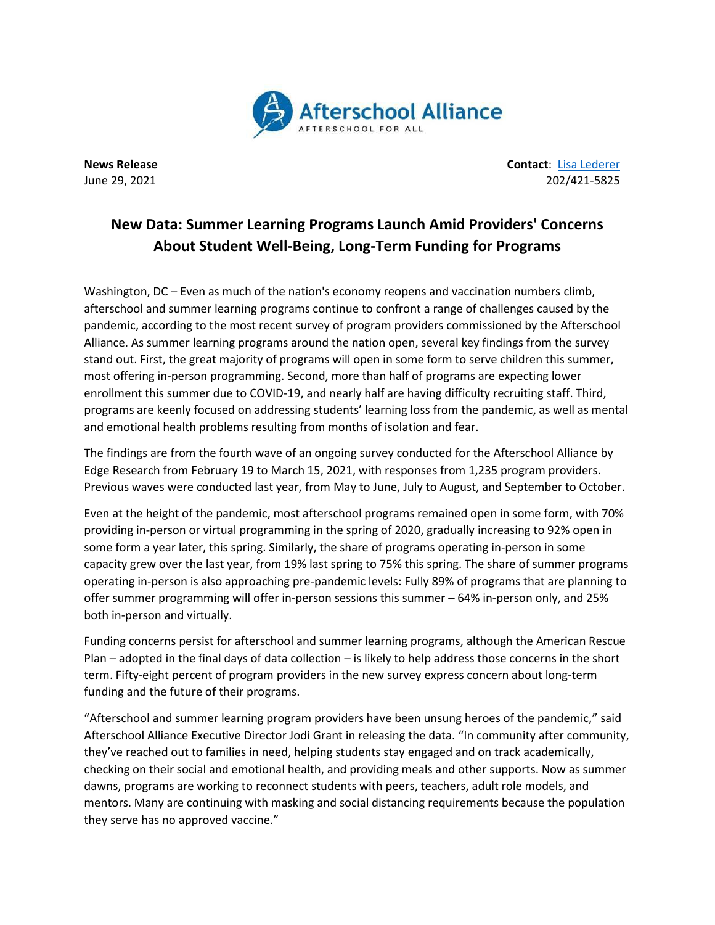

**News Release Contact**: Lisa [Lederer](mailto:lisa@prsolutionsdc.com) June 29, 2021 202/421-5825

## **New Data: Summer Learning Programs Launch Amid Providers' Concerns About Student Well-Being, Long-Term Funding for Programs**

Washington, DC – Even as much of the nation's economy reopens and vaccination numbers climb, afterschool and summer learning programs continue to confront a range of challenges caused by the pandemic, according to the most recent survey of program providers commissioned by the Afterschool Alliance. As summer learning programs around the nation open, several key findings from the survey stand out. First, the great majority of programs will open in some form to serve children this summer, most offering in-person programming. Second, more than half of programs are expecting lower enrollment this summer due to COVID-19, and nearly half are having difficulty recruiting staff. Third, programs are keenly focused on addressing students' learning loss from the pandemic, as well as mental and emotional health problems resulting from months of isolation and fear.

The findings are from the fourth wave of an ongoing survey conducted for the Afterschool Alliance by Edge Research from February 19 to March 15, 2021, with responses from 1,235 program providers. Previous waves were conducted last year, from May to June, July to August, and September to October.

Even at the height of the pandemic, most afterschool programs remained open in some form, with 70% providing in-person or virtual programming in the spring of 2020, gradually increasing to 92% open in some form a year later, this spring. Similarly, the share of programs operating in-person in some capacity grew over the last year, from 19% last spring to 75% this spring. The share of summer programs operating in-person is also approaching pre-pandemic levels: Fully 89% of programs that are planning to offer summer programming will offer in-person sessions this summer – 64% in-person only, and 25% both in-person and virtually.

Funding concerns persist for afterschool and summer learning programs, although the American Rescue Plan – adopted in the final days of data collection – is likely to help address those concerns in the short term. Fifty-eight percent of program providers in the new survey express concern about long-term funding and the future of their programs.

"Afterschool and summer learning program providers have been unsung heroes of the pandemic," said Afterschool Alliance Executive Director Jodi Grant in releasing the data. "In community after community, they've reached out to families in need, helping students stay engaged and on track academically, checking on their social and emotional health, and providing meals and other supports. Now as summer dawns, programs are working to reconnect students with peers, teachers, adult role models, and mentors. Many are continuing with masking and social distancing requirements because the population they serve has no approved vaccine."